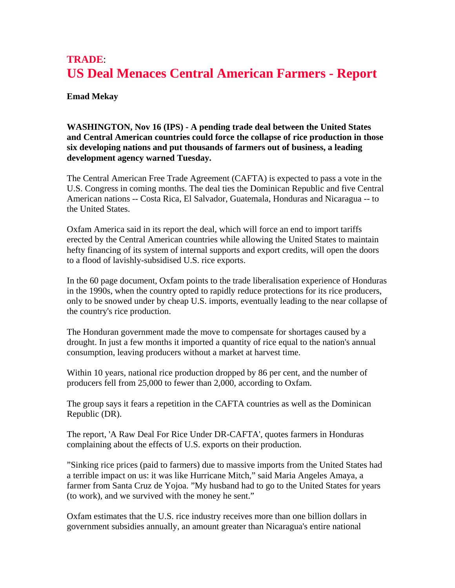## **TRADE**: **US Deal Menaces Central American Farmers - Report**

## **Emad Mekay**

## **WASHINGTON, Nov 16 (IPS) - A pending trade deal between the United States and Central American countries could force the collapse of rice production in those six developing nations and put thousands of farmers out of business, a leading development agency warned Tuesday.**

The Central American Free Trade Agreement (CAFTA) is expected to pass a vote in the U.S. Congress in coming months. The deal ties the Dominican Republic and five Central American nations -- Costa Rica, El Salvador, Guatemala, Honduras and Nicaragua -- to the United States.

Oxfam America said in its report the deal, which will force an end to import tariffs erected by the Central American countries while allowing the United States to maintain hefty financing of its system of internal supports and export credits, will open the doors to a flood of lavishly-subsidised U.S. rice exports.

In the 60 page document, Oxfam points to the trade liberalisation experience of Honduras in the 1990s, when the country opted to rapidly reduce protections for its rice producers, only to be snowed under by cheap U.S. imports, eventually leading to the near collapse of the country's rice production.

The Honduran government made the move to compensate for shortages caused by a drought. In just a few months it imported a quantity of rice equal to the nation's annual consumption, leaving producers without a market at harvest time.

Within 10 years, national rice production dropped by 86 per cent, and the number of producers fell from 25,000 to fewer than 2,000, according to Oxfam.

The group says it fears a repetition in the CAFTA countries as well as the Dominican Republic (DR).

The report, 'A Raw Deal For Rice Under DR-CAFTA', quotes farmers in Honduras complaining about the effects of U.S. exports on their production.

"Sinking rice prices (paid to farmers) due to massive imports from the United States had a terrible impact on us: it was like Hurricane Mitch," said Maria Angeles Amaya, a farmer from Santa Cruz de Yojoa. "My husband had to go to the United States for years (to work), and we survived with the money he sent."

Oxfam estimates that the U.S. rice industry receives more than one billion dollars in government subsidies annually, an amount greater than Nicaragua's entire national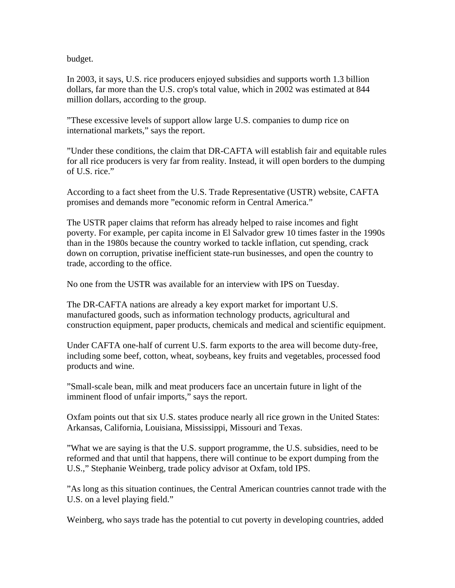budget.

In 2003, it says, U.S. rice producers enjoyed subsidies and supports worth 1.3 billion dollars, far more than the U.S. crop's total value, which in 2002 was estimated at 844 million dollars, according to the group.

"These excessive levels of support allow large U.S. companies to dump rice on international markets," says the report.

"Under these conditions, the claim that DR-CAFTA will establish fair and equitable rules for all rice producers is very far from reality. Instead, it will open borders to the dumping of U.S. rice."

According to a fact sheet from the U.S. Trade Representative (USTR) website, CAFTA promises and demands more "economic reform in Central America."

The USTR paper claims that reform has already helped to raise incomes and fight poverty. For example, per capita income in El Salvador grew 10 times faster in the 1990s than in the 1980s because the country worked to tackle inflation, cut spending, crack down on corruption, privatise inefficient state-run businesses, and open the country to trade, according to the office.

No one from the USTR was available for an interview with IPS on Tuesday.

The DR-CAFTA nations are already a key export market for important U.S. manufactured goods, such as information technology products, agricultural and construction equipment, paper products, chemicals and medical and scientific equipment.

Under CAFTA one-half of current U.S. farm exports to the area will become duty-free, including some beef, cotton, wheat, soybeans, key fruits and vegetables, processed food products and wine.

"Small-scale bean, milk and meat producers face an uncertain future in light of the imminent flood of unfair imports," says the report.

Oxfam points out that six U.S. states produce nearly all rice grown in the United States: Arkansas, California, Louisiana, Mississippi, Missouri and Texas.

"What we are saying is that the U.S. support programme, the U.S. subsidies, need to be reformed and that until that happens, there will continue to be export dumping from the U.S.," Stephanie Weinberg, trade policy advisor at Oxfam, told IPS.

"As long as this situation continues, the Central American countries cannot trade with the U.S. on a level playing field."

Weinberg, who says trade has the potential to cut poverty in developing countries, added